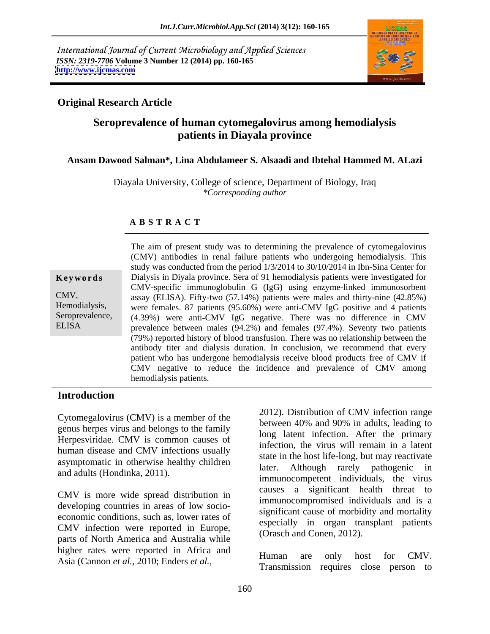International Journal of Current Microbiology and Applied Sciences *ISSN: 2319-7706* **Volume 3 Number 12 (2014) pp. 160-165 <http://www.ijcmas.com>**



## **Original Research Article**

# **Seroprevalence of human cytomegalovirus among hemodialysis patients in Diayala province**

### **Ansam Dawood Salman\*, Lina Abdulameer S. Alsaadi and Ibtehal Hammed M. ALazi**

Diayala University, College of science, Department of Biology, Iraq *\*Corresponding author* 

### **A B S T R A C T**

**Keywords** Dialysis in Diyala province. Sera of 91 hemodialysis patients were investigated for CMV, assay (ELISA). Fifty-two (57.14%) patients were males and thirty-nine (42.85%) Hemodialysis, were females. 87 patients (95.60%) were anti-CMV IgG positive and 4 patients Seroprevalence, (4.39%) were anti-CMV IgG negative. There was no difference in CMV ELISA prevalence between males (94.2%) and females (97.4%). Seventy two patients The aim of present study was to determining the prevalence of cytomegalovirus (CMV) antibodies in renal failure patients who undergoing hemodialysis. This study was conducted from the period 1/3/2014 to 30/10/2014 in Ibn-Sina Center for CMV-specific immunoglobulin G (IgG) using enzyme-linked immunosorbent (79%) reported history of blood transfusion. There was no relationship between the antibody titer and dialysis duration. In conclusion, we recommend that every patient who has undergone hemodialysis receive blood products free of CMV if CMV negative to reduce the incidence and prevalence of CMV among hemodialysis patients.

## **Introduction**

Cytomegalovirus (CMV) is a member of the genus herpes virus and belongs to the family Herpesviridae. CMV is common causes of human disease and CMV infections usually asymptomatic in otherwise healthy children and adults (Hondinka, 2011).

CMV is more wide spread distribution in CMV infection were reported in Europe, parts of North America and Australia while higher rates were reported in Africa and<br>Human are only host for CMV. Asia (Cannon *et al.,* 2010; Enders *et al.,*

developing countries in areas of low socio-<br>economic conditions, such as, lower rates of expectations, and is a expectation of expectations, such as, lower rates of 2012). Distribution of CMV infection range between 40% and 90% in adults, leading to long latent infection. After the primary infection, the virus will remain in a latent state in the host life-long, but may reactivate later. Although rarely pathogenic in immunocompetent individuals, the virus causes a significant health threat to immunocompromised individuals and is a significant cause of morbidity and mortality especially in organ transplant patients (Orasch and Conen, 2012).

> Human are only host for CMV. Transmission requires close person to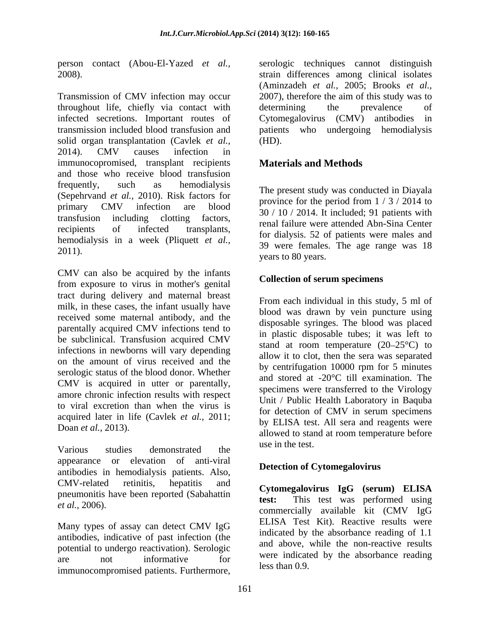Transmission of CMV infection may occur throughout life, chiefly via contact with infected secretions. Important routes of Cytomegalovirus (CMV) antibodies in transmission included blood transfusion and patients who undergoing hemodialysis solid organ transplantation (Cavlek *et al.,* 2014). CMV causes infection in immunocopromised, transplant recipients and those who receive blood transfusion frequently, such as hemodialysis The present study was conducted in Dievels (Sepehrvand *et al.*, 2010). Risk factors for primary CMV infection are blood  $\frac{p_1}{20}$  / 10 / 2014 It included 01 periods with transfusion including clotting factors, recipients of infected transplants, indicated transplants, hemodialysis in a week (Pliquett *et al.,* EIRCHINGT THE ALL THE SET OF THE ALL 39 were females. The age range was 18 and 18 and 2011).

CMV can also be acquired by the infants from exposure to virus in mother's genital tract during delivery and maternal breast milk, in these cases, the infant usually have received some maternal antibody, and the parentally acquired CMV infections tend to be subclinical. Transfusion acquired CMV infections in newborns will vary depending on the amount of virus received and the serologic status of the blood donor. Whether CMV is acquired in utter or parentally, amore chronic infection results with respect to viral excretion than when the virus is acquired later in life (Cavlek *et al.,* 2011;

Various studies demonstrated the use in the test. appearance or elevation of anti-viral antibodies in hemodialysis patients. Also,  $CMV$ -related retinitis, hepatitis and  $C_{\text{vtrans}}$   $I_{\text{c}}C$  (comparing  $I_{\text{c}}C$  (comparing  $I_{\text{c}}C$  (comparing  $I_{\text{c}}C$ ) pneumonitis have been reported (Sabahattin test:

Many types of assay can detect CMV IgG antibodies, indicative of past infection (the potential to undergo reactivation). Serologic immunocompromised patients. Furthermore,

person contact (Abou-El-Yazed *et al.,* serologic techniques cannot distinguish 2008). strain differences among clinical isolates (Aminzadeh *et al.,* 2005; Brooks *et al.,* 2007), therefore the aim of this study was to determining the prevalence of (HD).

# **Materials and Methods**

The present study was conducted in Diayala province for the period from 1 / 3 / 2014 to 30 / 10 / 2014. It included; 91 patients with renal failure were attended Abn-Sina Center for dialysis. 52 of patients were males and years to 80 years.

## **Collection of serum specimens**

Doan *et al.*, 2013).<br>
allowed to stand at room temperature before From each individual in this study, 5 ml of blood was drawn by vein puncture using disposable syringes. The blood was placed in plastic disposable tubes; it was left to stand at room temperature  $(20-25^{\circ}C)$  to allow it to clot, then the sera was separated by centrifugation 10000 rpm for 5 minutes and stored at -20°C till examination. The specimens were transferred to the Virology Unit / Public Health Laboratory in Baquba for detection of CMV in serum specimens by ELISA test. All sera and reagents were use in the test.

## **Detection of Cytomegalovirus**

et al., 2006). **Example 19 and 19 and 19 and 19 and 19 and 19 and 19 and 19 and 19 and 19 and 19 and 19 and 19 and 19 and 19 and 19 and 19 and 19 and 19 and 19 and 19 and 19 and 19 and 19 and 19 and 19 and 19 and 19 and 19** are not informative for were indicated by the absorbance reading **Cytomegalovirus IgG (serum) ELISA test:** This test was performed using ELISA Test Kit). Reactive results were indicated by the absorbance reading of 1.1 and above, while the non-reactive results were indicated by the absorbance reading less than 0.9.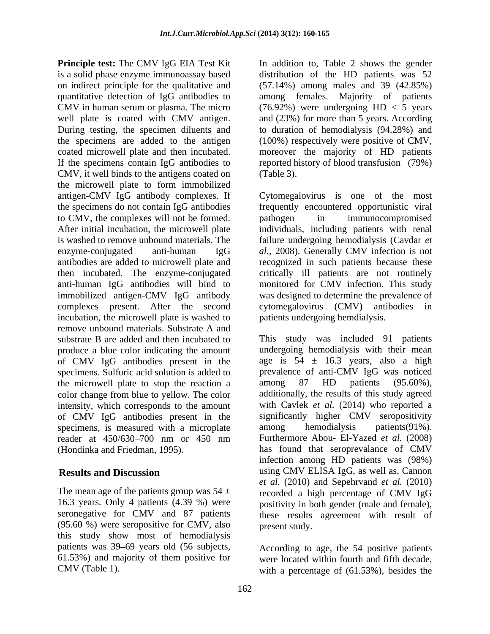**Principle test:** The CMV IgG EIA Test Kit In addition to, Table 2 shows the gender is a solid phase enzyme immunoassay based distribution of the HD patients was 52 on indirect principle for the qualitative and quantitative detection of IgG antibodies to among females. Majority of patients CMV in human serum or plasma. The micro  $(76.92%)$  were undergoing  $HD < 5$  years well plate is coated with CMV antigen. and (23%) for more than 5 years. According During testing, the specimen diluents and to duration of hemodialysis (94.28%) and the specimens are added to the antigen (100%) respectively were positive of CMV, coated microwell plate and then incubated. moreover the majority of HD patients If the specimens contain IgG antibodies to reported history of blood transfusion (79%) CMV, it well binds to the antigens coated on (Table 3). the microwell plate to form immobilized antigen-CMV IgG antibody complexes. If the specimens do not contain IgG antibodies to CMV, the complexes will not be formed.<br>After initial incubation, the microwell plate individuals, including patients with renal is washed to remove unbound materials. The failure undergoing hemodialysis (Cavdar *et*  enzyme-conjugated anti-human IgG *al.,* 2008). Generally CMV infection is not antibodies are added to microwell plate and recognized in such patients because these then incubated. The enzyme-conjugated critically ill patients are not routinely anti-human IgG antibodies will bind to monitored for CMV infection. This study immobilized antigen-CMV IgG antibody complexes present. After the second cytomegalovirus (CMV) antibodies in incubation, the microwell plate is washed to remove unbound materials. Substrate A and produce a blue color indicating the amount of CMV IgG antibodies present in the specimens. Sulfuric acid solution is added to prevalence of anti-CMV IgG was noticed<br>the microwell plate to stop the reaction a among 87 HD patients (95.60%), the microwell plate to stop the reaction a color change from blue to yellow. The color intensity, which corresponds to the amount of CMV IgG antibodies present in the specimens, is measured with a microplate among hemodialysis patients (91%). reader at 450/630-700 nm or 450 nm

(95.60 %) were seropositive for CMV, also this study show most of hemodialysis patients was 39 69 years old (56 subjects, According to age, the 54 positive patients 61.53%) and majority of them positive for were located within fourth and fifth decade,

(57.14%) among males and 39 (42.85%) (Table 3).

Cytomegalovirus is one of the most frequently encountered opportunistic viral pathogen in immunocompromised individuals, including patients with renal was designed to determine the prevalence of cytomegalovirus (CMV) antibodies patients undergoing hemdialysis.

substrate B are added and then incubated to This study was included 91 patients (Hondinka and Friedman, 1995). has found that seroprevalance of CMV **Results and Discussion** using CMV ELISA IgG, as well as, Cannon The mean age of the patients group was  $54 \pm$  recorded a high percentage of CMV IgG 16.3 years. Only 4 patients (4.39 %) were positivity in both gender (male and female), seronegative for CMV and 87 patients these results agreement with result of undergoing hemodialysis with their mean age is  $54 \pm 16.3$  years, also a high prevalence of anti-CMV IgG was noticed among 87 HD patients (95.60%), additionally, the results of this study agreed with Cavlek *et al.* (2014) who reported a significantly higher CMV seropositivity among hemodialysis patients(91%). Furthermore Abou- El-Yazed *et al.* (2008) infection among HD patients was (98%) *et al.* (2010) and Sepehrvand *et al.* (2010) present study.

CMV (Table 1). with a percentage of (61.53%), besides the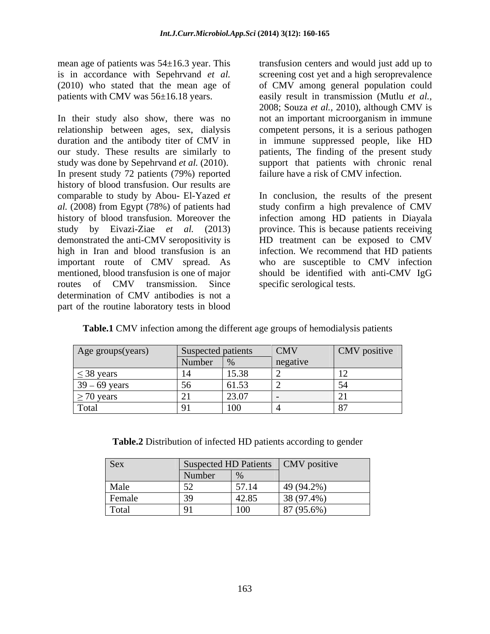mean age of patients was 54±16.3 year. This transfusion centers and would just add up to

In their study also show, there was no relationship between ages, sex, dialysis competent persons, it is a serious pathogen duration and the antibody titer of CMV in in immune suppressed people, like HD our study. These results are similarly to patients, The finding of the present study study was done by Sepehrvand *et al.* (2010). In present study 72 patients (79%) reported history of blood transfusion. Our results are comparable to study by Abou- El-Yazed *et al.* (2008) from Egypt (78%) of patients had history of blood transfusion. Moreover the infection among HD patients in Diayala study by Eivazi-Ziae *et al.* (2013) province. This is because patients receiving demonstrated the anti-CMV seropositivity is HD treatment can be exposed to CMV high in Iran and blood transfusion is an important route of CMV spread. As who are susceptible to CMV infection mentioned, blood transfusion is one of major should be identified with anti-CMV IgG routes of CMV transmission. Since specific serological tests. determination of CMV antibodies is not a part of the routine laboratory tests in blood

is in accordance with Sepehrvand *et al.* screening cost yet and a high seroprevalence (2010) who stated that the mean age of of CMV among general population could patients with CMV was 56±16.18 years. easily result in transmission (Mutlu *et al.,* 2008; Souza *et al.,* 2010), although CMV is not an important microorganism in immune support that patients with chronic renal failure have a risk of CMV infection.

> In conclusion, the results of the present study confirm a high prevalence of CMV infection. We recommend that HD patients specific serological tests.

| Table.1 CMV i<br>$\vee$ infection among the different age groups of hemodialysis patients |  |
|-------------------------------------------------------------------------------------------|--|
|-------------------------------------------------------------------------------------------|--|

| Age groups(years) | Suspected patients                                |       | <b>CMV</b> | $\vert$ CMV positive $\vert$ |
|-------------------|---------------------------------------------------|-------|------------|------------------------------|
|                   | $\blacksquare$ Number $\blacksquare$ <sup>o</sup> |       | negative   |                              |
| $\leq$ 38 years   | - 14                                              | 15.38 |            |                              |
| $39 - 69$ years   | $\sim$                                            | 61.53 |            |                              |
| $\geq$ 70 years   |                                                   | 23.07 |            |                              |
| Total             |                                                   | 100   |            |                              |

**Table.2** Distribution of infected HD patients according to gender

| Sex    |                                 |            | $\alpha$ ected HD Patients $\alpha$ CMV positive |
|--------|---------------------------------|------------|--------------------------------------------------|
|        | Number                          |            |                                                  |
| Male   | $\overline{z}$                  | 57.14      | 49 (94.2%)                                       |
| Female | $\sim$<br>$\tilde{\phantom{a}}$ | 42.85      | 38 (97.4%)                                       |
| Total  | $\sim$ $\sim$                   | $\mid$ 100 | 87(95.6%)                                        |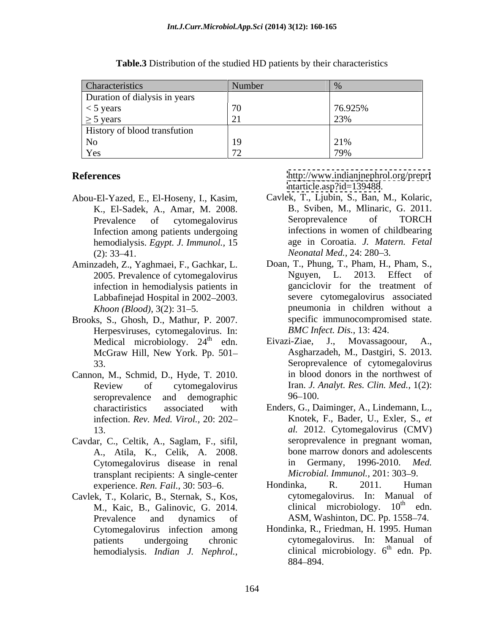| Characteristics                     | $\sim$ vullion |                           |
|-------------------------------------|----------------|---------------------------|
| Duration of dialysis in years       |                |                           |
| $<$ 5 years                         |                | 76.925%                   |
| $\geq$ 5 years                      |                |                           |
| <b>History of blood transfution</b> |                |                           |
|                                     |                | $\sqrt{10}$<br>$\angle$ 1 |
| r es                                |                |                           |

**Table.3** Distribution of the studied HD patients by their characteristics

- Abou-El-Yazed, E., El-Hoseny, I., Kasim, K., El-Sadek, A., Amar, M. 2008. Infection among patients undergoing hemodialysis. *Egypt. J. Immunol.,* 15
- Aminzadeh, Z., Yaghmaei, F., Gachkar, L. infection in hemodialysis patients in Labbafinejad Hospital in 2002-2003.
- Brooks, S., Ghosh, D., Mathur, P. 2007. Herpesviruses, cytomegalovirus. In:
- Cannon, M., Schmid, D., Hyde, T. 2010. infection. *Rev. Med. Virol.,* 20: 202
- Cavdar, C., Celtik, A., Saglam, F., sifil, transplant recipients: A single-center *Microbial. Immunol.*, 201: 303–9.<br>experience *Ren. Fail.*, 30: 503–6. Hondinka, R. 2011. Human experience. Ren. Fail., 30: 503-6.
- Cavlek, T., Kolaric, B., Sternak, S., Kos, M., Kaic, B., Galinovic, G. 2014.

**References** http://www.indianjnephrol.org/prepri <ntarticle.asp?id=139488>.

- Prevalence of cytomegalovirus Seroprevalence of TORCH (2):  $33-41$ .  $Neonatal Med., 24: 280-3$ . Cavlek, T., Ljubin, S., Ban, M., Kolaric, B., Sviben, M., Mlinaric, G. 2011. Seroprevalence of TORCH infections in women of childbearing age in Coroatia. *J. Matern. Fetal Neonatal Med., 24: 280–3.*
- 2005. Prevalence of cytomegalovirus Nguyen, L. 2013. Effect of *Khoon (Blood),* 3(2): 31–5. **pneumonia** in children without a **FIRECT: ELECT (2003) INCENSE (2008) INCENSE (2008) Carrollary Carrollary Carrollary I. Kaim**, **Z. Electrom among protection among protection among protection among protection among protection among prote** Doan, T., Phung, T., Pham, H., Pham, S., Nguyen, L. 2013. Effect of ganciclovir for the treatment of severe cytomegalovirus associated specific immunocompromised state. *BMC Infect. Dis.,* 13: 424.
- Medical microbiology. 24<sup>th</sup> edn. Eivazi-Ziae, J., Movassagoour, A.,  $\frac{dh}{dt}$  cdn  $\frac{H^{(1)}(x)}{dt}$   $\frac{H^{(1)}(x)}{dt}$   $\frac{H^{(1)}(x)}{dt}$   $\frac{H^{(1)}(x)}{dt}$   $\frac{H^{(1)}(x)}{dt}$   $\frac{H^{(1)}(x)}{dt}$   $\frac{H^{(1)}(x)}{dt}$   $\frac{H^{(1)}(x)}{dt}$   $\frac{H^{(1)}(x)}{dt}$   $\frac{H^{(1)}(x)}{dt}$   $\frac{H^{(1)}(x)}{dt}$   $\frac{H^{(1)}(x)}{dt}$   $\frac$ Movassagoour. McGraw Hill, New York. Pp. 501 33. Seroprevalence of cytomegalovirus Review of cytomegalovirus Iran. J. Analyt. Res. Clin. Med., 1(2): seroprevalence and demographic 96–100. Eivazi-Ziae, J., Movassagoour, A., Asgharzadeh, M., Dastgiri, S. 2013. in blood donors in the northwest of Iran. *J. Analyt. Res. Clin. Med.,* 1(2):  $96 - 100.$
- charactiristics associated with Enders, G., Daiminger, A., Lindemann, L., 13. *al.* 2012. Cytomegalovirus (CMV) A., Atila, K., Celik, A. 2008. Cytomegalovirus disease in renal in Germany, 1996-2010. Med. Knotek, F., Bader, U., Exler, S., *et*  seroprevalence in pregnant woman, bone marrow donors and adolescents in Germany, 1996-2010. *Med. Microbial. Immunol., 201: 303-9.*
- Prevalence and dynamics of ASM, Washinton, DC. Pp. 1558–74. Hondinka, R. 2011. Human cytomegalovirus. In: Manual of clinical microbiology.  $10<sup>th</sup>$  edn.  $\frac{\text{th}}{\text{cdn}}$ edn.
- Cytomegalovirus infection among Hondinka, R., Friedman, H. 1995. Human patients undergoing chronic cytomegalovirus. In: Manual of clinical microbiology.  $6<sup>th</sup>$  edn. Pp.  $th$  adn **D**n edn. Pp. 884–894.